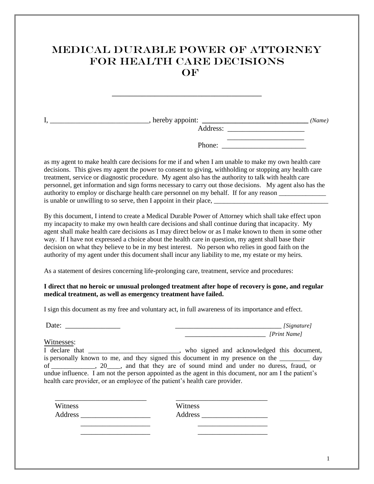## MEDICAL DURABLE POWER OF ATTORNEY FOR HEALTH CARE DECISIONS OF

I, \_\_\_\_\_\_\_\_\_\_\_\_\_\_\_\_\_\_\_\_\_\_\_\_\_\_\_, hereby appoint: **\_\_\_\_\_\_\_\_\_\_\_\_\_\_\_\_\_\_\_\_\_\_\_\_\_\_\_\_\_** *(Name)* Address: \_\_\_\_\_\_\_\_\_\_\_\_\_\_\_\_\_\_\_\_\_  $\overline{\phantom{a}}$  ,  $\overline{\phantom{a}}$  ,  $\overline{\phantom{a}}$  ,  $\overline{\phantom{a}}$  ,  $\overline{\phantom{a}}$  ,  $\overline{\phantom{a}}$  ,  $\overline{\phantom{a}}$  ,  $\overline{\phantom{a}}$  ,  $\overline{\phantom{a}}$  ,  $\overline{\phantom{a}}$  ,  $\overline{\phantom{a}}$  ,  $\overline{\phantom{a}}$  ,  $\overline{\phantom{a}}$  ,  $\overline{\phantom{a}}$  ,  $\overline{\phantom{a}}$  ,  $\overline{\phantom{a}}$ 

Phone: \_\_\_\_\_\_\_\_\_\_\_\_\_\_\_\_\_\_\_\_\_\_\_

as my agent to make health care decisions for me if and when I am unable to make my own health care decisions. This gives my agent the power to consent to giving, withholding or stopping any health care treatment, service or diagnostic procedure. My agent also has the authority to talk with health care personnel, get information and sign forms necessary to carry out those decisions. My agent also has the authority to employ or discharge health care personnel on my behalf. If for any reason is unable or unwilling to so serve, then I appoint in their place,

By this document, I intend to create a Medical Durable Power of Attorney which shall take effect upon my incapacity to make my own health care decisions and shall continue during that incapacity. My agent shall make health care decisions as I may direct below or as I make known to them in some other way. If I have not expressed a choice about the health care in question, my agent shall base their decision on what they believe to be in my best interest. No person who relies in good faith on the authority of my agent under this document shall incur any liability to me, my estate or my heirs.

As a statement of desires concerning life-prolonging care, treatment, service and procedures:

## **I direct that no heroic or unusual prolonged treatment after hope of recovery is gone, and regular medical treatment, as well as emergency treatment have failed.**

I sign this document as my free and voluntary act, in full awareness of its importance and effect.

Date:

| [Signature]  |
|--------------|
| [Print Name] |

Witnesses:

I declare that \_\_\_\_\_\_\_\_\_\_\_\_\_\_\_\_\_\_\_\_, who signed and acknowledged this document, is personally known to me, and they signed this document in my presence on the \_\_\_\_\_\_\_\_\_ day of \_\_\_\_\_\_\_\_\_\_\_\_\_, 20\_\_\_\_, and that they are of sound mind and under no duress, fraud, or undue influence. I am not the person appointed as the agent in this document, nor am I the patient's health care provider, or an employee of the patient's health care provider.